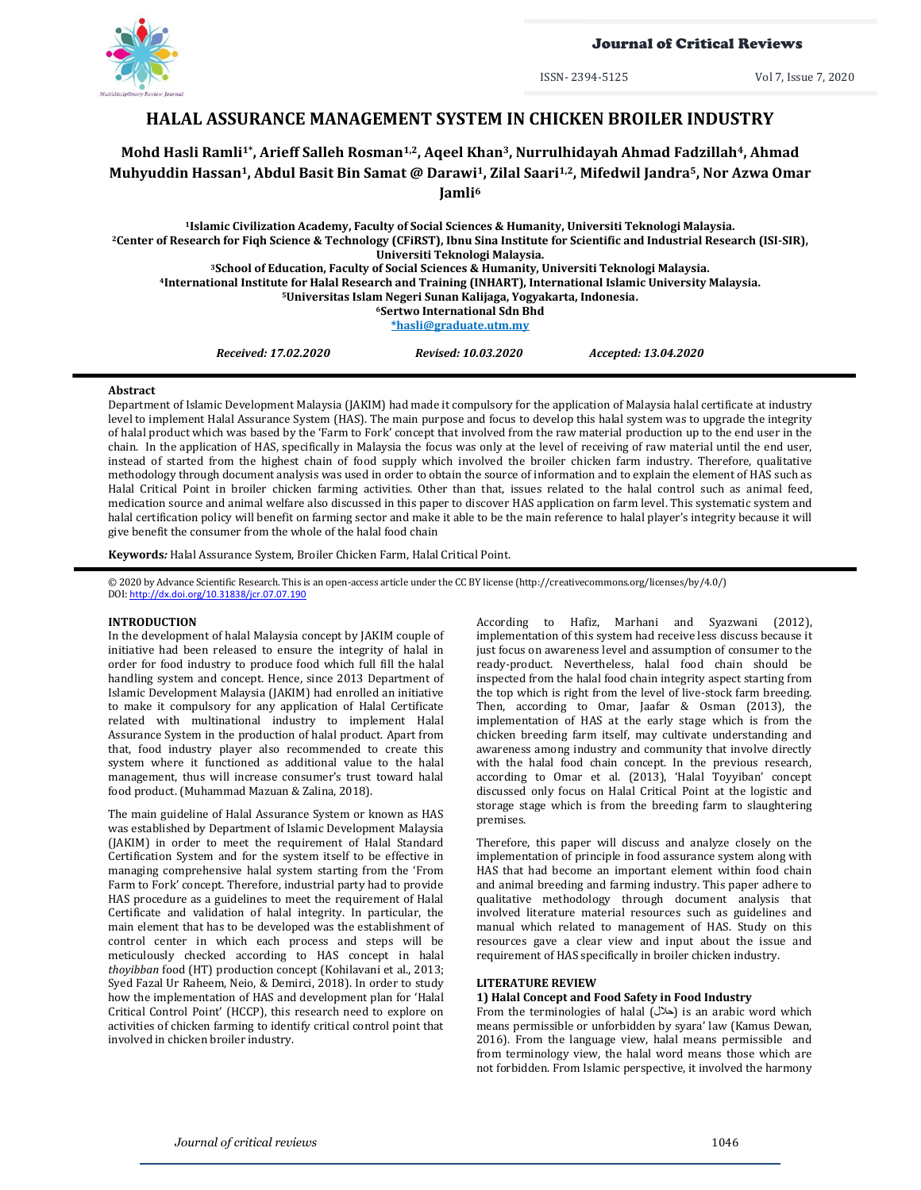

Journal of Critical Reviews

ISSN- 2394-5125 Vol 7, Issue 7, 2020

# **HALAL ASSURANCE MANAGEMENT SYSTEM IN CHICKEN BROILER INDUSTRY**

# **Mohd Hasli Ramli1\*, Arieff Salleh Rosman1,2, Aqeel Khan3, Nurrulhidayah Ahmad Fadzillah4, Ahmad Muhyuddin Hassan1, Abdul Basit Bin Samat @ Darawi1, Zilal Saari1,2, Mifedwil Jandra5, Nor Azwa Omar Jamli<sup>6</sup>**

**Islamic Civilization Academy, Faculty of Social Sciences & Humanity, Universiti Teknologi Malaysia. Center of Research for Fiqh Science & Technology (CFiRST)[, Ibnu Sina Institute for Scientific and Industrial Research \(ISI-SIR\),](https://www.utm.my/office-dvcri/ibnu-sina-institute-for-scientific-and-industrial-research-isi-sir/)  Universiti Teknologi Malaysia. School of Education, Faculty of Social Sciences & Humanity, Universiti Teknologi Malaysia. International Institute for Halal Research and Training (INHART), International Islamic University Malaysia.**

**<sup>5</sup>Universitas Islam Negeri Sunan Kalijaga, Yogyakarta, Indonesia.**

**<sup>6</sup>Sertwo International Sdn Bhd**

**[\\*hasli@graduate.utm.m](mailto:hasli@graduate.utm.)y**

*Received: 17.02.2020 Revised: 10.03.2020 Accepted: 13.04.2020*

#### **Abstract**

Department of Islamic Development Malaysia (JAKIM) had made it compulsory for the application of Malaysia halal certificate at industry level to implement Halal Assurance System (HAS). The main purpose and focus to develop this halal system was to upgrade the integrity of halal product which was based by the 'Farm to Fork' concept that involved from the raw material production up to the end user in the chain. In the application of HAS, specifically in Malaysia the focus was only at the level of receiving of raw material until the end user, instead of started from the highest chain of food supply which involved the broiler chicken farm industry. Therefore, qualitative methodology through document analysis was used in order to obtain the source of information and to explain the element of HAS such as Halal Critical Point in broiler chicken farming activities. Other than that, issues related to the halal control such as animal feed, medication source and animal welfare also discussed in this paper to discover HAS application on farm level. This systematic system and halal certification policy will benefit on farming sector and make it able to be the main reference to halal player's integrity because it will give benefit the consumer from the whole of the halal food chain

**Keywords***:* Halal Assurance System, Broiler Chicken Farm, Halal Critical Point.

© 2020 by Advance Scientific Research. This is an open-access article under the CC BY license [\(http://creativecommons.org/licenses/by/4.0/\)](http://creativecommons.org/licenses/by/4.0/) DOI: <http://dx.doi.org/10.31838/jcr.07.07.190>

# **INTRODUCTION**

In the development of halal Malaysia concept by JAKIM couple of initiative had been released to ensure the integrity of halal in order for food industry to produce food which full fill the halal handling system and concept. Hence, since 2013 Department of Islamic Development Malaysia (JAKIM) had enrolled an initiative to make it compulsory for any application of Halal Certificate related with multinational industry to implement Halal Assurance System in the production of halal product. Apart from that, food industry player also recommended to create this system where it functioned as additional value to the halal management, thus will increase consumer's trust toward halal food product. (Muhammad Mazuan & Zalina, 2018).

The main guideline of Halal Assurance System or known as HAS was established by Department of Islamic Development Malaysia (JAKIM) in order to meet the requirement of Halal Standard Certification System and for the system itself to be effective in managing comprehensive halal system starting from the 'From Farm to Fork' concept. Therefore, industrial party had to provide HAS procedure as a guidelines to meet the requirement of Halal Certificate and validation of halal integrity. In particular, the main element that has to be developed was the establishment of control center in which each process and steps will be meticulously checked according to HAS concept in halal *thoyibban* food (HT) production concept (Kohilavani et al., 2013; Syed Fazal Ur Raheem, Neio, & Demirci, 2018). In order to study how the implementation of HAS and development plan for 'Halal Critical Control Point' (HCCP), this research need to explore on activities of chicken farming to identify critical control point that involved in chicken broiler industry.

According to Hafiz, Marhani and Syazwani (2012), implementation of this system had receive less discuss because it just focus on awareness level and assumption of consumer to the ready-product. Nevertheless, halal food chain should be inspected from the halal food chain integrity aspect starting from the top which is right from the level of live-stock farm breeding. Then, according to Omar, Jaafar & Osman (2013), the implementation of HAS at the early stage which is from the chicken breeding farm itself, may cultivate understanding and awareness among industry and community that involve directly with the halal food chain concept. In the previous research, according to Omar et al. (2013), 'Halal Toyyiban' concept discussed only focus on Halal Critical Point at the logistic and storage stage which is from the breeding farm to slaughtering premises.

Therefore, this paper will discuss and analyze closely on the implementation of principle in food assurance system along with HAS that had become an important element within food chain and animal breeding and farming industry. This paper adhere to qualitative methodology through document analysis that involved literature material resources such as guidelines and manual which related to management of HAS. Study on this resources gave a clear view and input about the issue and requirement of HAS specifically in broiler chicken industry.

## **LITERATURE REVIEW**

## **1) Halal Concept and Food Safety in Food Industry**

From the terminologies of halal  $(\triangle \setminus)$  is an arabic word which means permissible or unforbidden by syara' law (Kamus Dewan, 2016). From the language view, halal means permissible and from terminology view, the halal word means those which are not forbidden. From Islamic perspective, it involved the harmony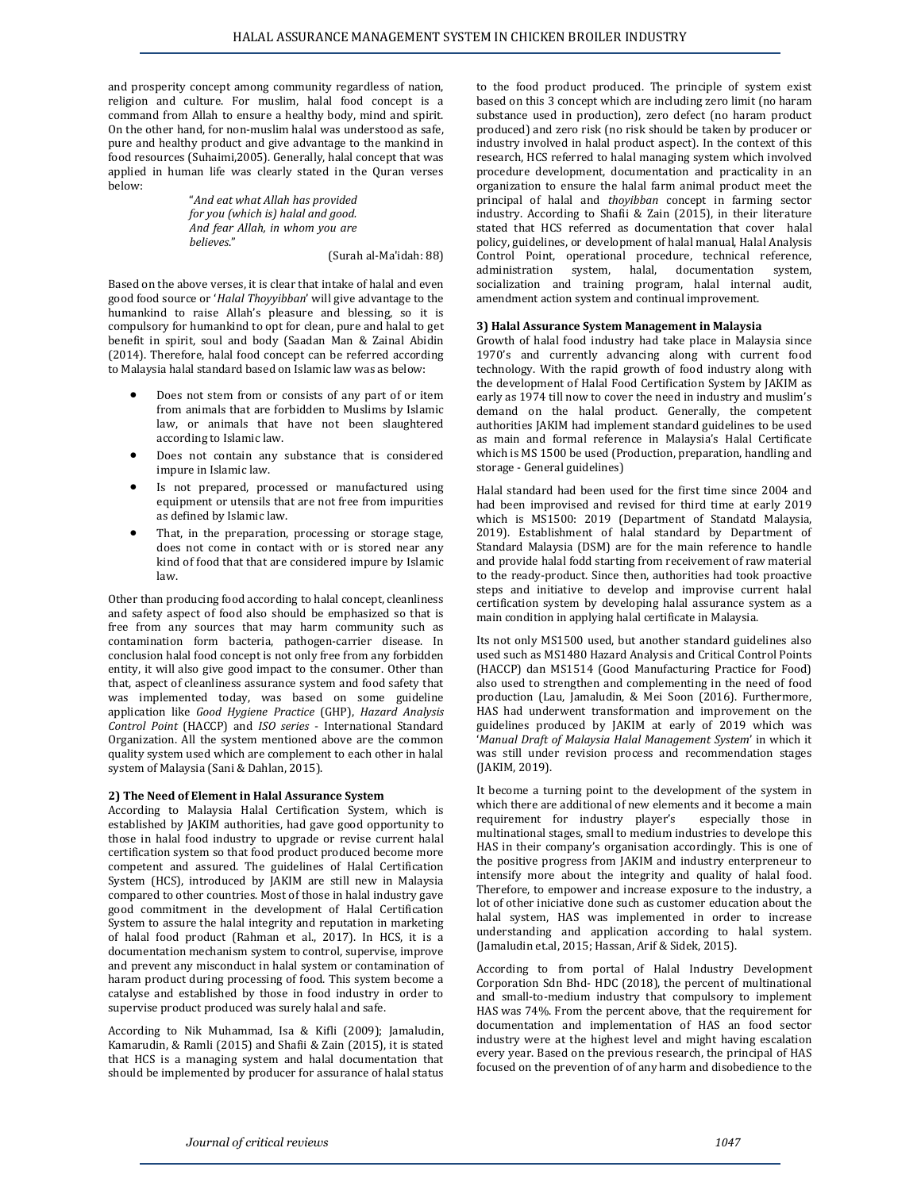and prosperity concept among community regardless of nation, religion and culture. For muslim, halal food concept is a command from Allah to ensure a healthy body, mind and spirit. On the other hand, for non-muslim halal was understood as safe, pure and healthy product and give advantage to the mankind in food resources (Suhaimi,2005). Generally, halal concept that was applied in human life was clearly stated in the Quran verses below:

"*And eat what Allah has provided for you (which is) halal and good. And fear Allah, in whom you are believes*."

(Surah al-Ma'idah: 88)

Based on the above verses, it is clear that intake of halal and even good food source or '*Halal Thoyyibban*' will give advantage to the humankind to raise Allah's pleasure and blessing, so it is compulsory for humankind to opt for clean, pure and halal to get benefit in spirit, soul and body (Saadan Man & Zainal Abidin (2014). Therefore, halal food concept can be referred according to Malaysia halal standard based on Islamic law was as below:

- Does not stem from or consists of any part of or item from animals that are forbidden to Muslims by Islamic law, or animals that have not been slaughtered according to Islamic law.
- Does not contain any substance that is considered impure in Islamic law.
- Is not prepared, processed or manufactured using equipment or utensils that are not free from impurities as defined by Islamic law.
- That, in the preparation, processing or storage stage, does not come in contact with or is stored near any kind of food that that are considered impure by Islamic law.

Other than producing food according to halal concept, cleanliness and safety aspect of food also should be emphasized so that is free from any sources that may harm community such as contamination form bacteria, pathogen-carrier disease. In conclusion halal food concept is not only free from any forbidden entity, it will also give good impact to the consumer. Other than that, aspect of cleanliness assurance system and food safety that was implemented today, was based on some guideline application like *Good Hygiene Practice* (GHP), *Hazard Analysis Control Point* (HACCP) and *ISO series* - International Standard Organization. All the system mentioned above are the common quality system used which are complement to each other in halal system of Malaysia (Sani & Dahlan, 2015).

# **2) The Need of Element in Halal Assurance System**

According to Malaysia Halal Certification System, which is established by JAKIM authorities, had gave good opportunity to those in halal food industry to upgrade or revise current halal certification system so that food product produced become more competent and assured. The guidelines of Halal Certification System (HCS), introduced by JAKIM are still new in Malaysia compared to other countries. Most of those in halal industry gave good commitment in the development of Halal Certification System to assure the halal integrity and reputation in marketing of halal food product (Rahman et al., 2017). In HCS, it is a documentation mechanism system to control, supervise, improve and prevent any misconduct in halal system or contamination of haram product during processing of food. This system become a catalyse and established by those in food industry in order to supervise product produced was surely halal and safe.

According to Nik Muhammad, Isa & Kifli (2009); Jamaludin, Kamarudin, & Ramli (2015) and Shafii & Zain (2015), it is stated that HCS is a managing system and halal documentation that should be implemented by producer for assurance of halal status

to the food product produced. The principle of system exist based on this 3 concept which are including zero limit (no haram substance used in production), zero defect (no haram product produced) and zero risk (no risk should be taken by producer or industry involved in halal product aspect). In the context of this research, HCS referred to halal managing system which involved procedure development, documentation and practicality in an organization to ensure the halal farm animal product meet the principal of halal and *thoyibban* concept in farming sector industry. According to Shafii & Zain (2015), in their literature stated that HCS referred as documentation that cover halal policy, guidelines, or development of halal manual, Halal Analysis Control Point, operational procedure, technical reference, administration system, halal, documentation system, socialization and training program, halal internal audit, amendment action system and continual improvement.

### **3) Halal Assurance System Management in Malaysia**

Growth of halal food industry had take place in Malaysia since 1970's and currently advancing along with current food technology. With the rapid growth of food industry along with the development of Halal Food Certification System by JAKIM as early as 1974 till now to cover the need in industry and muslim's demand on the halal product. Generally, the competent authorities JAKIM had implement standard guidelines to be used as main and formal reference in Malaysia's Halal Certificate which is MS 1500 be used (Production, preparation, handling and storage - General guidelines)

Halal standard had been used for the first time since 2004 and had been improvised and revised for third time at early 2019 which is MS1500: 2019 (Department of Standatd Malaysia, 2019). Establishment of halal standard by Department of Standard Malaysia (DSM) are for the main reference to handle and provide halal fodd starting from receivement of raw material to the ready-product. Since then, authorities had took proactive steps and initiative to develop and improvise current halal certification system by developing halal assurance system as a main condition in applying halal certificate in Malaysia.

Its not only MS1500 used, but another standard guidelines also used such as MS1480 Hazard Analysis and Critical Control Points (HACCP) dan MS1514 (Good Manufacturing Practice for Food) also used to strengthen and complementing in the need of food production (Lau, Jamaludin, & Mei Soon (2016). Furthermore, HAS had underwent transformation and improvement on the guidelines produced by JAKIM at early of 2019 which was '*Manual Draft of Malaysia Halal Management System*' in which it was still under revision process and recommendation stages (JAKIM, 2019).

It become a turning point to the development of the system in which there are additional of new elements and it become a main requirement for industry player's especially those in multinational stages, small to medium industries to develope this HAS in their company's organisation accordingly. This is one of the positive progress from JAKIM and industry enterpreneur to intensify more about the integrity and quality of halal food. Therefore, to empower and increase exposure to the industry, a lot of other iniciative done such as customer education about the halal system, HAS was implemented in order to increase understanding and application according to halal system. (Jamaludin et.al, 2015; Hassan, Arif & Sidek, 2015).

According to from portal of Halal Industry Development Corporation Sdn Bhd- HDC (2018), the percent of multinational and small-to-medium industry that compulsory to implement HAS was 74%. From the percent above, that the requirement for documentation and implementation of HAS an food sector industry were at the highest level and might having escalation every year. Based on the previous research, the principal of HAS focused on the prevention of of any harm and disobedience to the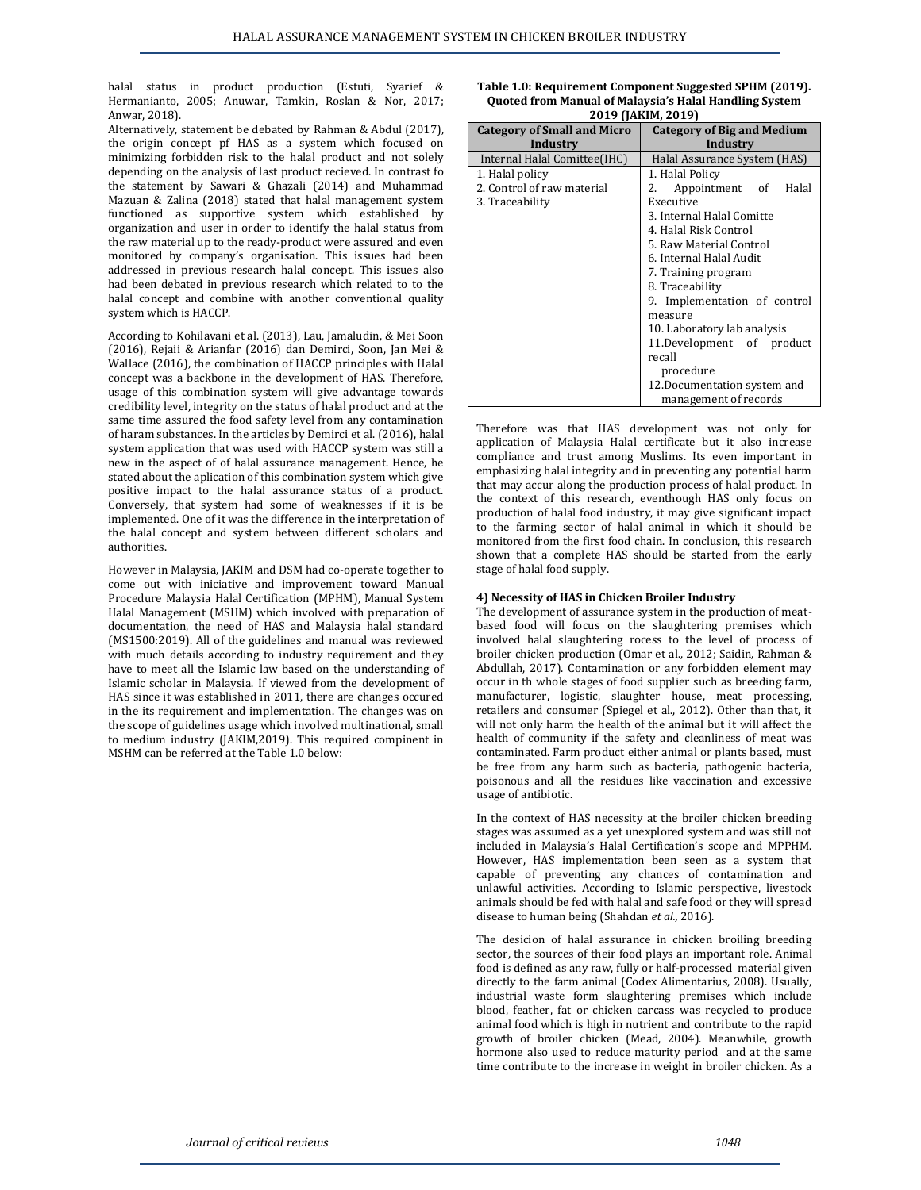halal status in product production (Estuti, Syarief & Hermanianto, 2005; Anuwar, Tamkin, Roslan & Nor, 2017; Anwar, 2018).

Alternatively, statement be debated by Rahman & Abdul (2017), the origin concept pf HAS as a system which focused on minimizing forbidden risk to the halal product and not solely depending on the analysis of last product recieved. In contr the statement by Sawari & Ghazali (2014) and Muhai Mazuan & Zalina (2018) stated that halal management sy functioned as supportive system which established organization and user in order to identify the halal status the raw material up to the ready-product were assured and monitored by company's organisation. This issues had addressed in previous research halal concept. This issue had been debated in previous research which related to halal concept and combine with another conventional q system which is HACCP.

According to Kohilavani et al. (2013), Lau, Jamaludin, & Mei (2016), Rejaii & Arianfar (2016) dan Demirci, Soon, Jan Wallace (2016), the combination of HACCP principles with Halal concept was a backbone in the development of HAS. Therefore, usage of this combination system will give advantage towards credibility level, integrity on the status of halal product and at the same time assured the food safety level from any contamination of haram substances. In the articles by Demirci et al. (2016), halal system application that was used with HACCP system was still a new in the aspect of of halal assurance management. Hence, he stated about the aplication of this combination system which give positive impact to the halal assurance status of a product. Conversely, that system had some of weaknesses if it is be implemented. One of it was the difference in the interpretation of the halal concept and system between different scholars and authorities.

However in Malaysia, JAKIM and DSM had co-operate together to come out with iniciative and improvement toward Manual Procedure Malaysia Halal Certification (MPHM), Manual System Halal Management (MSHM) which involved with preparation of documentation, the need of HAS and Malaysia halal standard (MS1500:2019). All of the guidelines and manual was reviewed with much details according to industry requirement and they have to meet all the Islamic law based on the understanding of Islamic scholar in Malaysia. If viewed from the development of HAS since it was established in 2011, there are changes occured in the its requirement and implementation. The changes was on the scope of guidelines usage which involved multinational, small to medium industry (JAKIM,2019). This required compinent in MSHM can be referred at the Table 1.0 below:

| solely     | Internal Halal Comittee(IHC) | Halal Assurance System (HAS)  |
|------------|------------------------------|-------------------------------|
| rast fo    | 1. Halal policy              | 1. Halal Policy               |
| mmad       | 2. Control of raw material   | 2.<br>Halal<br>Appointment of |
| system     | 3. Traceability              | Executive                     |
| d bv:      |                              | 3. Internal Halal Comitte     |
| s from     |                              | 4. Halal Risk Control         |
| d even     |                              | 5. Raw Material Control       |
| ∣ been     |                              | 6. Internal Halal Audit       |
| es also    |                              | 7. Training program           |
| to the     |                              | 8. Traceability               |
| quality    |                              | 9. Implementation of control  |
|            |                              | measure                       |
|            |                              | 10. Laboratory lab analysis   |
| i Soon     |                              | 11.Development of product     |
| Mei &<br>. |                              | recall                        |

**Category of Small and Micro Industry**

**Table 1.0: Requirement Component Suggested SPHM (2019). Quoted from Manual of Malaysia's Halal Handling System 2019 (JAKIM, 2019)**

> **Category of Big and Medium Industry**

Therefore was that HAS development was not only for application of Malaysia Halal certificate but it also increase compliance and trust among Muslims. Its even important in emphasizing halal integrity and in preventing any potential harm that may accur along the production process of halal product. In the context of this research, eventhough HAS only focus on production of halal food industry, it may give significant impact to the farming sector of halal animal in which it should be monitored from the first food chain. In conclusion, this research shown that a complete HAS should be started from the early stage of halal food supply.

procedure

12.Documentation system and management of records

#### **4) Necessity of HAS in Chicken Broiler Industry**

The development of assurance system in the production of meatbased food will focus on the slaughtering premises which involved halal slaughtering rocess to the level of process of broiler chicken production (Omar et al., 2012; Saidin, Rahman & Abdullah, 2017). Contamination or any forbidden element may occur in th whole stages of food supplier such as breeding farm, manufacturer, logistic, slaughter house, meat processing, retailers and consumer (Spiegel et al., 2012). Other than that, it will not only harm the health of the animal but it will affect the health of community if the safety and cleanliness of meat was contaminated. Farm product either animal or plants based, must be free from any harm such as bacteria, pathogenic bacteria, poisonous and all the residues like vaccination and excessive usage of antibiotic.

In the context of HAS necessity at the broiler chicken breeding stages was assumed as a yet unexplored system and was still not included in Malaysia's Halal Certification's scope and MPPHM. However, HAS implementation been seen as a system that capable of preventing any chances of contamination and unlawful activities. According to Islamic perspective, livestock animals should be fed with halal and safe food or they will spread disease to human being (Shahdan *et al.,* 2016).

The desicion of halal assurance in chicken broiling breeding sector, the sources of their food plays an important role. Animal food is defined as any raw, fully or half-processed material given directly to the farm animal (Codex Alimentarius, 2008). Usually, industrial waste form slaughtering premises which include blood, feather, fat or chicken carcass was recycled to produce animal food which is high in nutrient and contribute to the rapid growth of broiler chicken (Mead, 2004). Meanwhile, growth hormone also used to reduce maturity period and at the same time contribute to the increase in weight in broiler chicken. As a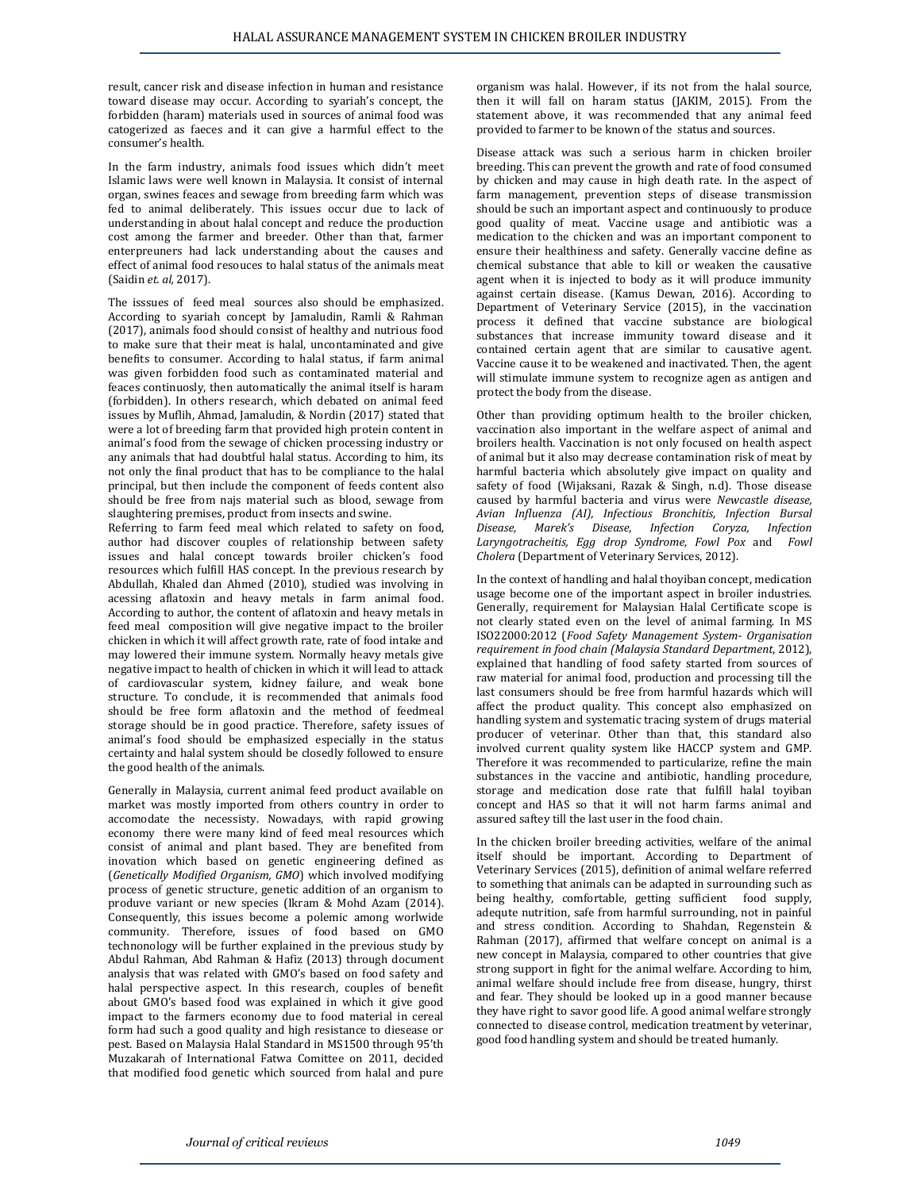result, cancer risk and disease infection in human and resistance toward disease may occur. According to syariah's concept, the forbidden (haram) materials used in sources of animal food was catogerized as faeces and it can give a harmful effect to the consumer's health.

In the farm industry, animals food issues which didn't meet Islamic laws were well known in Malaysia. It consist of internal organ, swines feaces and sewage from breeding farm which was fed to animal deliberately. This issues occur due to lack of understanding in about halal concept and reduce the production cost among the farmer and breeder. Other than that, farmer enterpreuners had lack understanding about the causes and effect of animal food resouces to halal status of the animals meat (Saidin *et. al,* 2017).

The isssues of feed meal sources also should be emphasized. According to syariah concept by Jamaludin, Ramli & Rahman (2017), animals food should consist of healthy and nutrious food to make sure that their meat is halal, uncontaminated and give benefits to consumer. According to halal status, if farm animal was given forbidden food such as contaminated material and feaces continuosly, then automatically the animal itself is haram (forbidden). In others research, which debated on animal feed issues by Muflih, Ahmad, Jamaludin, & Nordin (2017) stated that were a lot of breeding farm that provided high protein content in animal's food from the sewage of chicken processing industry or any animals that had doubtful halal status. According to him, its not only the final product that has to be compliance to the halal principal, but then include the component of feeds content also should be free from najs material such as blood, sewage from slaughtering premises, product from insects and swine.

Referring to farm feed meal which related to safety on food, author had discover couples of relationship between safety issues and halal concept towards broiler chicken's food resources which fulfill HAS concept. In the previous research by Abdullah, Khaled dan Ahmed (2010), studied was involving in acessing aflatoxin and heavy metals in farm animal food. According to author, the content of aflatoxin and heavy metals in feed meal composition will give negative impact to the broiler chicken in which it will affect growth rate, rate of food intake and may lowered their immune system. Normally heavy metals give negative impact to health of chicken in which it will lead to attack of cardiovascular system, kidney failure, and weak bone structure. To conclude, it is recommended that animals food should be free form aflatoxin and the method of feedmeal storage should be in good practice. Therefore, safety issues of animal's food should be emphasized especially in the status certainty and halal system should be closedly followed to ensure the good health of the animals.

Generally in Malaysia, current animal feed product available on market was mostly imported from others country in order to accomodate the necessisty. Nowadays, with rapid growing economy there were many kind of feed meal resources which consist of animal and plant based. They are benefited from inovation which based on genetic engineering defined as (*Genetically Modified Organism, GMO*) which involved modifying process of genetic structure, genetic addition of an organism to produve variant or new species (Ikram & Mohd Azam (2014). Consequently, this issues become a polemic among worlwide community. Therefore, issues of food based on GMO technonology will be further explained in the previous study by Abdul Rahman, Abd Rahman & Hafiz (2013) through document analysis that was related with GMO's based on food safety and halal perspective aspect. In this research, couples of benefit about GMO's based food was explained in which it give good impact to the farmers economy due to food material in cereal form had such a good quality and high resistance to diesease or pest. Based on Malaysia Halal Standard in MS1500 through 95'th Muzakarah of International Fatwa Comittee on 2011, decided that modified food genetic which sourced from halal and pure

organism was halal. However, if its not from the halal source, then it will fall on haram status (JAKIM, 2015). From the statement above, it was recommended that any animal feed provided to farmer to be known of the status and sources.

Disease attack was such a serious harm in chicken broiler breeding. This can prevent the growth and rate of food consumed by chicken and may cause in high death rate. In the aspect of farm management, prevention steps of disease transmission should be such an important aspect and continuously to produce good quality of meat. Vaccine usage and antibiotic was a medication to the chicken and was an important component to ensure their healthiness and safety. Generally vaccine define as chemical substance that able to kill or weaken the causative agent when it is injected to body as it will produce immunity against certain disease. (Kamus Dewan, 2016). According to Department of Veterinary Service (2015), in the vaccination process it defined that vaccine substance are biological substances that increase immunity toward disease and it contained certain agent that are similar to causative agent. Vaccine cause it to be weakened and inactivated. Then, the agent will stimulate immune system to recognize agen as antigen and protect the body from the disease.

Other than providing optimum health to the broiler chicken, vaccination also important in the welfare aspect of animal and broilers health. Vaccination is not only focused on health aspect of animal but it also may decrease contamination risk of meat by harmful bacteria which absolutely give impact on quality and safety of food (Wijaksani, Razak & Singh, n.d). Those disease caused by harmful bacteria and virus were *Newcastle disease, Avian Influenza (AI), Infectious Bronchitis, Infection Bursal Disease, Marek's Disease, Infection Coryza, Infection Laryngotracheitis, Egg drop Syndrome, Fowl Pox* and *Fowl Cholera* (Department of Veterinary Services, 2012).

In the context of handling and halal thoyiban concept, medication usage become one of the important aspect in broiler industries. Generally, requirement for Malaysian Halal Certificate scope is not clearly stated even on the level of animal farming. In MS ISO22000:2012 (*Food Safety Management System- Organisation requirement in food chain (Malaysia Standard Department*, 2012), explained that handling of food safety started from sources of raw material for animal food, production and processing till the last consumers should be free from harmful hazards which will affect the product quality. This concept also emphasized on handling system and systematic tracing system of drugs material producer of veterinar. Other than that, this standard also involved current quality system like HACCP system and GMP. Therefore it was recommended to particularize, refine the main substances in the vaccine and antibiotic, handling procedure, storage and medication dose rate that fulfill halal toyiban concept and HAS so that it will not harm farms animal and assured saftey till the last user in the food chain.

In the chicken broiler breeding activities, welfare of the animal itself should be important. According to Department of Veterinary Services (2015), definition of animal welfare referred to something that animals can be adapted in surrounding such as being healthy, comfortable, getting sufficient food supply, adequte nutrition, safe from harmful surrounding, not in painful and stress condition. According to Shahdan, Regenstein & Rahman (2017), affirmed that welfare concept on animal is a new concept in Malaysia, compared to other countries that give strong support in fight for the animal welfare. According to him, animal welfare should include free from disease, hungry, thirst and fear. They should be looked up in a good manner because they have right to savor good life. A good animal welfare strongly connected to disease control, medication treatment by veterinar, good food handling system and should be treated humanly.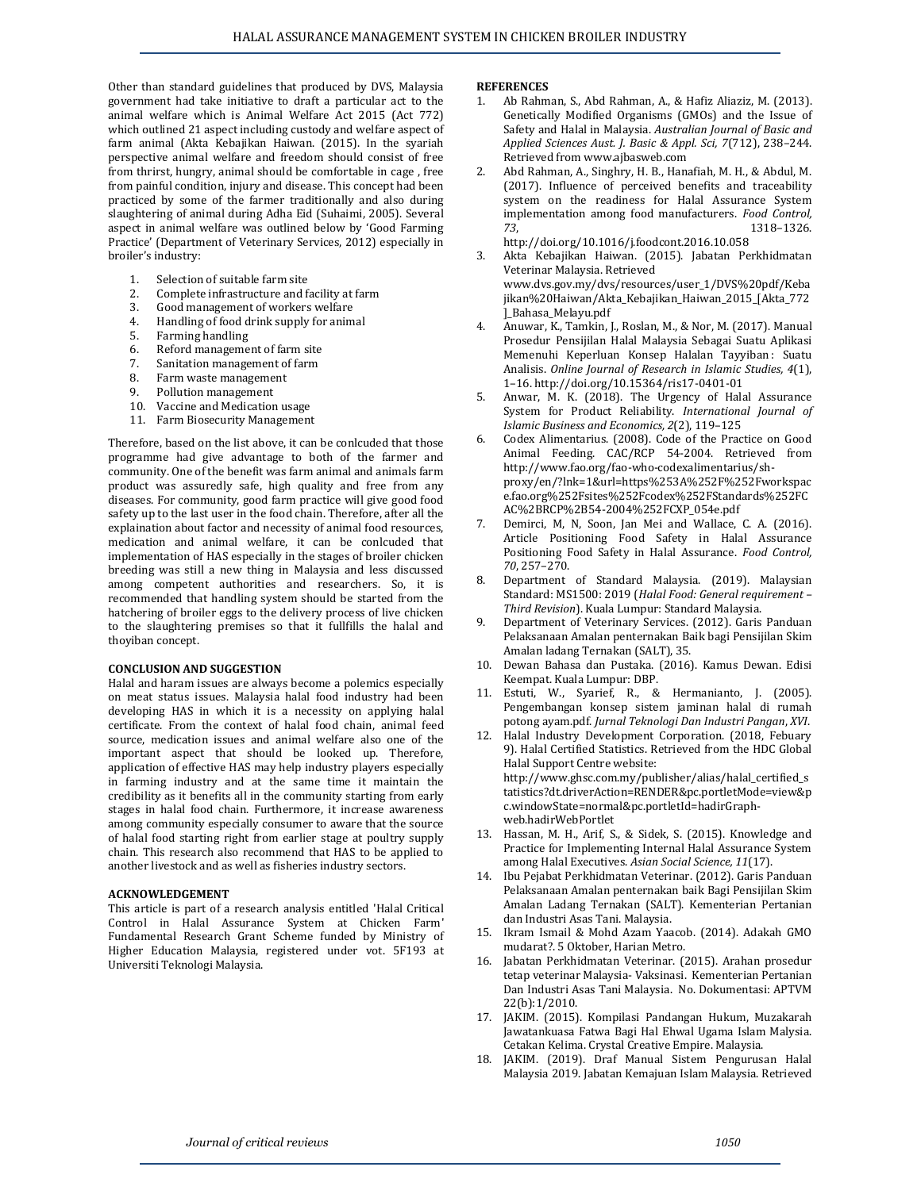Other than standard guidelines that produced by DVS, Malaysia government had take initiative to draft a particular act to the animal welfare which is Animal Welfare Act 2015 (Act 772) which outlined 21 aspect including custody and welfare aspect of farm animal (Akta Kebajikan Haiwan. (2015). In the syariah perspective animal welfare and freedom should consist of free from thrirst, hungry, animal should be comfortable in cage , free from painful condition, injury and disease. This concept had been practiced by some of the farmer traditionally and also during slaughtering of animal during Adha Eid (Suhaimi, 2005). Several aspect in animal welfare was outlined below by 'Good Farming Practice' (Department of Veterinary Services, 2012) especially in broiler's industry:

- 1. Selection of suitable farm site
- 2. Complete infrastructure and facility at farm
- 3. Good management of workers welfare
- 4. Handling of food drink supply for animal
- 5. Farming handling
- 6. Reford management of farm site
- 7. Sanitation management of farm
- 8. Farm waste management
- 9. Pollution management
- 10. Vaccine and Medication usage
- 11. Farm Biosecurity Management

Therefore, based on the list above, it can be conlcuded that those programme had give advantage to both of the farmer and community. One of the benefit was farm animal and animals farm product was assuredly safe, high quality and free from any diseases. For community, good farm practice will give good food safety up to the last user in the food chain. Therefore, after all the explaination about factor and necessity of animal food resources, medication and animal welfare, it can be conlcuded that implementation of HAS especially in the stages of broiler chicken breeding was still a new thing in Malaysia and less discussed among competent authorities and researchers. So, it is recommended that handling system should be started from the hatchering of broiler eggs to the delivery process of live chicken to the slaughtering premises so that it fullfills the halal and thoyiban concept.

#### **CONCLUSION AND SUGGESTION**

Halal and haram issues are always become a polemics especially on meat status issues. Malaysia halal food industry had been developing HAS in which it is a necessity on applying halal certificate. From the context of halal food chain, animal feed source, medication issues and animal welfare also one of the important aspect that should be looked up. Therefore, application of effective HAS may help industry players especially in farming industry and at the same time it maintain the credibility as it benefits all in the community starting from early stages in halal food chain. Furthermore, it increase awareness among community especially consumer to aware that the source of halal food starting right from earlier stage at poultry supply chain. This research also recommend that HAS to be applied to another livestock and as well as fisheries industry sectors.

# **ACKNOWLEDGEMENT**

This article is part of a research analysis entitled 'Halal Critical Control in Halal Assurance System at Chicken Farm' Fundamental Research Grant Scheme funded by Ministry of Higher Education Malaysia, registered under vot. 5F193 at Universiti Teknologi Malaysia.

### **REFERENCES**

- 1. Ab Rahman, S., Abd Rahman, A., & Hafiz Aliaziz, M. (2013). Genetically Modified Organisms (GMOs) and the Issue of Safety and Halal in Malaysia. *Australian Journal of Basic and Applied Sciences Aust. J. Basic & Appl. Sci, 7*(712), 238–244. Retrieved fro[m www.ajbasweb.com](http://www.ajbasweb.com/)
- 2. Abd Rahman, A., Singhry, H. B., Hanafiah, M. H., & Abdul, M. (2017). Influence of perceived benefits and traceability system on the readiness for Halal Assurance System implementation among food manufacturers. *Food Control, 73*, 1318–1326. <http://doi.org/10.1016/j.foodcont.2016.10.058>
- 3. Akta Kebajikan Haiwan. (2015). Jabatan Perkhidmatan Veterinar Malaysia. Retrieved [www.dvs.gov.my/dvs/resources/user\\_1/DVS%20pdf/Keba](http://www.dvs.gov.my/dvs/resources/user_1/DVS%20pdf/Kebajikan%20Haiwan/Akta_Kebajikan_Haiwan_2015_%5bAkta_772%5d_Bahasa_Melayu.pdf) [jikan%20Haiwan/Akta\\_Kebajikan\\_Haiwan\\_2015\\_\[Akta\\_772](http://www.dvs.gov.my/dvs/resources/user_1/DVS%20pdf/Kebajikan%20Haiwan/Akta_Kebajikan_Haiwan_2015_%5bAkta_772%5d_Bahasa_Melayu.pdf) [\]\\_Bahasa\\_Melayu.pdf](http://www.dvs.gov.my/dvs/resources/user_1/DVS%20pdf/Kebajikan%20Haiwan/Akta_Kebajikan_Haiwan_2015_%5bAkta_772%5d_Bahasa_Melayu.pdf)
- 4. Anuwar, K., Tamkin, J., Roslan, M., & Nor, M. (2017). Manual Prosedur Pensijilan Halal Malaysia Sebagai Suatu Aplikasi Memenuhi Keperluan Konsep Halalan Tayyiban : Suatu Analisis. *Online Journal of Research in Islamic Studies, 4*(1), 1–16[. http://doi.org/10.15364/ris17-0401-01](http://doi.org/10.15364/ris17-0401-01)
- 5. Anwar, M. K. (2018). The Urgency of Halal Assurance System for Product Reliability. *International Journal of Islamic Business and Economics, 2*(2), 119–125
- 6. Codex Alimentarius. (2008). Code of the Practice on Good Animal Feeding. CAC/RCP 54-2004. Retrieved from [http://www.fao.org/fao-who-codexalimentarius/sh](http://www.fao.org/fao-who-codexalimentarius/sh-proxy/en/?lnk=1&url=https%253A%252F%252Fworkspace.fao.org%252Fsites%252Fcodex%252FStandards%252FCAC%2BRCP%2B54-2004%252FCXP_054e.pdf)[proxy/en/?lnk=1&url=https%253A%252F%252Fworkspac](http://www.fao.org/fao-who-codexalimentarius/sh-proxy/en/?lnk=1&url=https%253A%252F%252Fworkspace.fao.org%252Fsites%252Fcodex%252FStandards%252FCAC%2BRCP%2B54-2004%252FCXP_054e.pdf) [e.fao.org%252Fsites%252Fcodex%252FStandards%252FC](http://www.fao.org/fao-who-codexalimentarius/sh-proxy/en/?lnk=1&url=https%253A%252F%252Fworkspace.fao.org%252Fsites%252Fcodex%252FStandards%252FCAC%2BRCP%2B54-2004%252FCXP_054e.pdf) [AC%2BRCP%2B54-2004%252FCXP\\_054e.pdf](http://www.fao.org/fao-who-codexalimentarius/sh-proxy/en/?lnk=1&url=https%253A%252F%252Fworkspace.fao.org%252Fsites%252Fcodex%252FStandards%252FCAC%2BRCP%2B54-2004%252FCXP_054e.pdf)
- 7. Demirci, M, N, Soon, Jan Mei and Wallace, C. A. (2016). Article Positioning Food Safety in Halal Assurance Positioning Food Safety in Halal Assurance. *Food Control, 70*, 257–270.
- 8. Department of Standard Malaysia. (2019). Malaysian Standard: MS1500: 2019 (*Halal Food: General requirement – Third Revision*). Kuala Lumpur: Standard Malaysia.
- 9. Department of Veterinary Services. (2012). Garis Panduan Pelaksanaan Amalan penternakan Baik bagi Pensijilan Skim Amalan ladang Ternakan (SALT), 35.
- 10. Dewan Bahasa dan Pustaka. (2016). Kamus Dewan. Edisi Keempat. Kuala Lumpur: DBP.
- 11. Estuti, W., Syarief, R., & Hermanianto, J. (2005). Pengembangan konsep sistem jaminan halal di rumah potong ayam.pdf. *Jurnal Teknologi Dan Industri Pangan*, *XVI*.
- 12. Halal Industry Development Corporation. (2018, Febuary 9). Halal Certified Statistics. Retrieved from the HDC Global Halal Support Centre website: [http://www.ghsc.com.my/publisher/alias/halal\\_certified\\_s](http://www.ghsc.com.my/publisher/alias/halal_certified_statistics?dt.driverAction=RENDER&pc.portletMode=view&pc.windowState=normal&pc.portletId=hadirGraph-web.hadirWebPortlet) [tatistics?dt.driverAction=RENDER&pc.portletMode=view&p](http://www.ghsc.com.my/publisher/alias/halal_certified_statistics?dt.driverAction=RENDER&pc.portletMode=view&pc.windowState=normal&pc.portletId=hadirGraph-web.hadirWebPortlet) [c.windowState=normal&pc.portletId=hadirGraph](http://www.ghsc.com.my/publisher/alias/halal_certified_statistics?dt.driverAction=RENDER&pc.portletMode=view&pc.windowState=normal&pc.portletId=hadirGraph-web.hadirWebPortlet)[web.hadirWebPortlet](http://www.ghsc.com.my/publisher/alias/halal_certified_statistics?dt.driverAction=RENDER&pc.portletMode=view&pc.windowState=normal&pc.portletId=hadirGraph-web.hadirWebPortlet)
- 13. Hassan, M. H., Arif, S., & Sidek, S. (2015). Knowledge and Practice for Implementing Internal Halal Assurance System among Halal Executives. *Asian Social Science, 11*(17).
- 14. Ibu Pejabat Perkhidmatan Veterinar. (2012). Garis Panduan Pelaksanaan Amalan penternakan baik Bagi Pensijilan Skim Amalan Ladang Ternakan (SALT). Kementerian Pertanian dan Industri Asas Tani. Malaysia.
- 15. Ikram Ismail & Mohd Azam Yaacob. (2014). Adakah GMO mudarat?. 5 Oktober, Harian Metro.
- 16. Jabatan Perkhidmatan Veterinar. (2015). Arahan prosedur tetap veterinar Malaysia- Vaksinasi. Kementerian Pertanian Dan Industri Asas Tani Malaysia. No. Dokumentasi: APTVM 22(b):1/2010.
- 17. JAKIM. (2015). Kompilasi Pandangan Hukum, Muzakarah Jawatankuasa Fatwa Bagi Hal Ehwal Ugama Islam Malysia. Cetakan Kelima. Crystal Creative Empire. Malaysia.
- 18. JAKIM. (2019). Draf Manual Sistem Pengurusan Halal Malaysia 2019. Jabatan Kemajuan Islam Malaysia. Retrieved